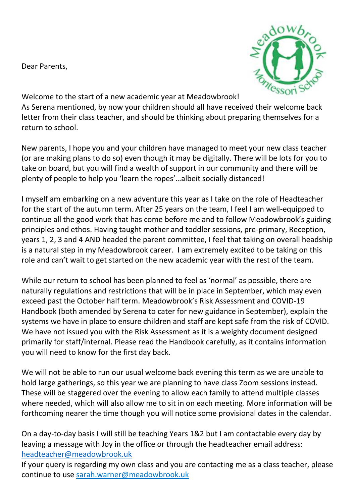Dear Parents,



Welcome to the start of a new academic year at Meadowbrook! As Serena mentioned, by now your children should all have received their welcome back letter from their class teacher, and should be thinking about preparing themselves for a return to school.

New parents, I hope you and your children have managed to meet your new class teacher (or are making plans to do so) even though it may be digitally. There will be lots for you to take on board, but you will find a wealth of support in our community and there will be plenty of people to help you 'learn the ropes'…albeit socially distanced!

I myself am embarking on a new adventure this year as I take on the role of Headteacher for the start of the autumn term. After 25 years on the team, I feel I am well-equipped to continue all the good work that has come before me and to follow Meadowbrook's guiding principles and ethos. Having taught mother and toddler sessions, pre-primary, Reception, years 1, 2, 3 and 4 AND headed the parent committee, I feel that taking on overall headship is a natural step in my Meadowbrook career. I am extremely excited to be taking on this role and can't wait to get started on the new academic year with the rest of the team.

While our return to school has been planned to feel as 'normal' as possible, there are naturally regulations and restrictions that will be in place in September, which may even exceed past the October half term. Meadowbrook's Risk Assessment and COVID-19 Handbook (both amended by Serena to cater for new guidance in September), explain the systems we have in place to ensure children and staff are kept safe from the risk of COVID. We have not issued you with the Risk Assessment as it is a weighty document designed primarily for staff/internal. Please read the Handbook carefully, as it contains information you will need to know for the first day back.

We will not be able to run our usual welcome back evening this term as we are unable to hold large gatherings, so this year we are planning to have class Zoom sessions instead. These will be staggered over the evening to allow each family to attend multiple classes where needed, which will also allow me to sit in on each meeting. More information will be forthcoming nearer the time though you will notice some provisional dates in the calendar.

On a day-to-day basis I will still be teaching Years 1&2 but I am contactable every day by leaving a message with Joy in the office or through the headteacher email address: [headteacher@meadowbrook.uk](mailto:headteacher@meadowbrook.uk)

If your query is regarding my own class and you are contacting me as a class teacher, please continue to use sarah.warner@meadowbrook.uk